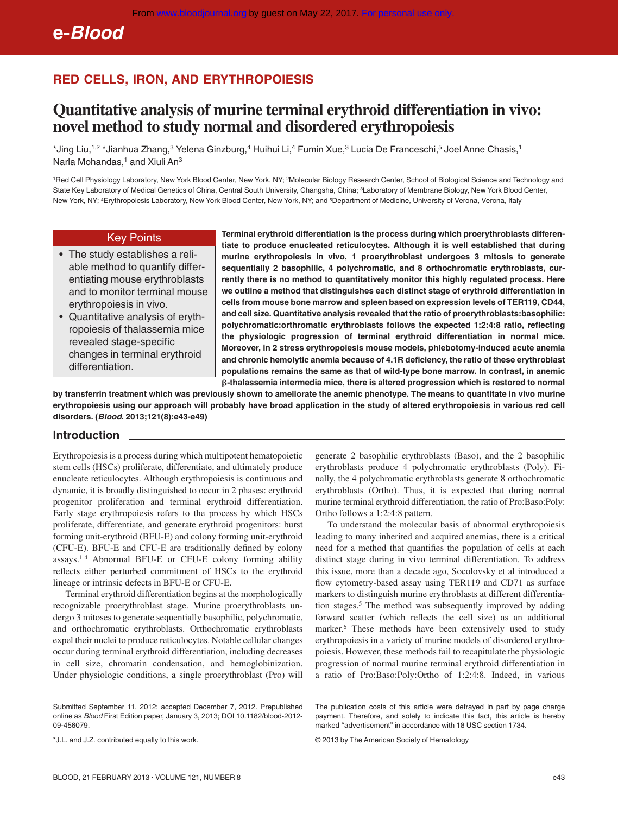**e-***Blood*

# **RED CELLS, IRON, AND ERYTHROPOIESIS**

# **Quantitative analysis of murine terminal erythroid differentiation in vivo: novel method to study normal and disordered erythropoiesis**

\*Jing Liu,<sup>1,2</sup> \*Jianhua Zhang,<sup>3</sup> Yelena Ginzburg,<sup>4</sup> Huihui Li,<sup>4</sup> Fumin Xue,<sup>3</sup> Lucia De Franceschi,<sup>5</sup> Joel Anne Chasis,<sup>1</sup> Narla Mohandas,<sup>1</sup> and Xiuli An<sup>3</sup>

1Red Cell Physiology Laboratory, New York Blood Center, New York, NY; 2Molecular Biology Research Center, School of Biological Science and Technology and State Key Laboratory of Medical Genetics of China, Central South University, Changsha, China; 3Laboratory of Membrane Biology, New York Blood Center, New York, NY; 4Erythropoiesis Laboratory, New York Blood Center, New York, NY; and 5Department of Medicine, University of Verona, Verona, Italy

## Key Points

- The study establishes a reliable method to quantify differentiating mouse erythroblasts and to monitor terminal mouse erythropoiesis in vivo.
- Quantitative analysis of erythropoiesis of thalassemia mice revealed stage-specific changes in terminal erythroid differentiation.

**Terminal erythroid differentiation is the process during which proerythroblasts differentiate to produce enucleated reticulocytes. Although it is well established that during murine erythropoiesis in vivo, 1 proerythroblast undergoes 3 mitosis to generate sequentially 2 basophilic, 4 polychromatic, and 8 orthochromatic erythroblasts, currently there is no method to quantitatively monitor this highly regulated process. Here we outline a method that distinguishes each distinct stage of erythroid differentiation in cells from mouse bone marrow and spleen based on expression levels of TER119, CD44, and cell size. Quantitative analysis revealed that the ratio of proerythroblasts:basophilic: polychromatic:orthromatic erythroblasts follows the expected 1:2:4:8 ratio, reflecting the physiologic progression of terminal erythroid differentiation in normal mice. Moreover, in 2 stress erythropoiesis mouse models, phlebotomy-induced acute anemia and chronic hemolytic anemia because of 4.1R deficiency, the ratio of these erythroblast populations remains the same as that of wild-type bone marrow. In contrast, in anemic -thalassemia intermedia mice, there is altered progression which is restored to normal**

**by transferrin treatment which was previously shown to ameliorate the anemic phenotype. The means to quantitate in vivo murine erythropoiesis using our approach will probably have broad application in the study of altered erythropoiesis in various red cell disorders. (***Blood***. 2013;121(8):e43-e49)**

#### **Introduction**

Erythropoiesis is a process during which multipotent hematopoietic stem cells (HSCs) proliferate, differentiate, and ultimately produce enucleate reticulocytes. Although erythropoiesis is continuous and dynamic, it is broadly distinguished to occur in 2 phases: erythroid progenitor proliferation and terminal erythroid differentiation. Early stage erythropoiesis refers to the process by which HSCs proliferate, differentiate, and generate erythroid progenitors: burst forming unit-erythroid (BFU-E) and colony forming unit-erythroid (CFU-E). BFU-E and CFU-E are traditionally defined by colony assays.1-4 Abnormal BFU-E or CFU-E colony forming ability reflects either perturbed commitment of HSCs to the erythroid lineage or intrinsic defects in BFU-E or CFU-E.

Terminal erythroid differentiation begins at the morphologically recognizable proerythroblast stage. Murine proerythroblasts undergo 3 mitoses to generate sequentially basophilic, polychromatic, and orthochromatic erythroblasts. Orthochromatic erythroblasts expel their nuclei to produce reticulocytes. Notable cellular changes occur during terminal erythroid differentiation, including decreases in cell size, chromatin condensation, and hemoglobinization. Under physiologic conditions, a single proerythroblast (Pro) will generate 2 basophilic erythroblasts (Baso), and the 2 basophilic erythroblasts produce 4 polychromatic erythroblasts (Poly). Finally, the 4 polychromatic erythroblasts generate 8 orthochromatic erythroblasts (Ortho). Thus, it is expected that during normal murine terminal erythroid differentiation, the ratio of Pro:Baso:Poly: Ortho follows a 1:2:4:8 pattern.

To understand the molecular basis of abnormal erythropoiesis leading to many inherited and acquired anemias, there is a critical need for a method that quantifies the population of cells at each distinct stage during in vivo terminal differentiation. To address this issue, more than a decade ago, Socolovsky et al introduced a flow cytometry-based assay using TER119 and CD71 as surface markers to distinguish murine erythroblasts at different differentiation stages.<sup>5</sup> The method was subsequently improved by adding forward scatter (which reflects the cell size) as an additional marker.6 These methods have been extensively used to study erythropoiesis in a variety of murine models of disordered erythropoiesis. However, these methods fail to recapitulate the physiologic progression of normal murine terminal erythroid differentiation in a ratio of Pro:Baso:Poly:Ortho of 1:2:4:8. Indeed, in various

The publication costs of this article were defrayed in part by page charge payment. Therefore, and solely to indicate this fact, this article is hereby marked ''advertisement'' in accordance with 18 USC section 1734.

© 2013 by The American Society of Hematology

Submitted September 11, 2012; accepted December 7, 2012. Prepublished online as *Blood* First Edition paper, January 3, 2013; DOI 10.1182/blood-2012- 09-456079.

<sup>\*</sup>J.L. and J.Z. contributed equally to this work.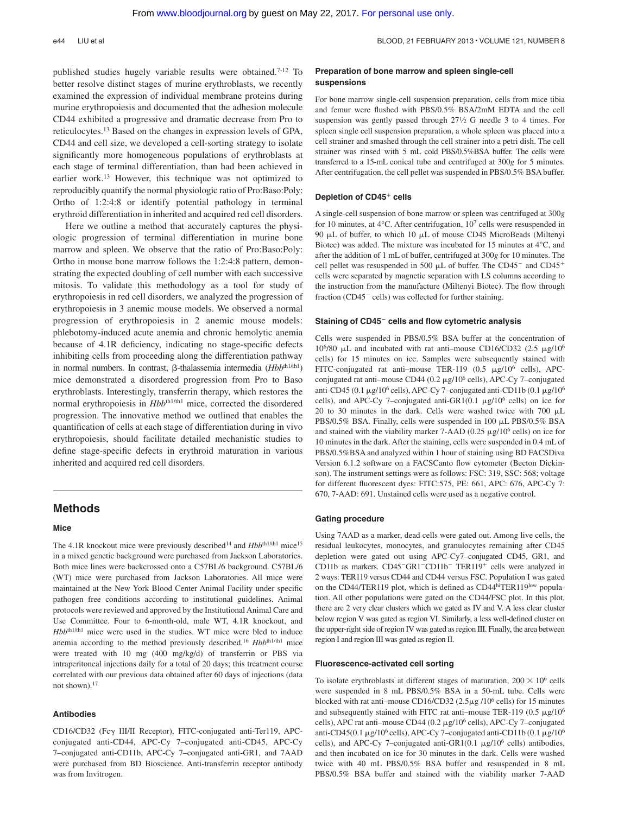published studies hugely variable results were obtained.7-12 To better resolve distinct stages of murine erythroblasts, we recently examined the expression of individual membrane proteins during murine erythropoiesis and documented that the adhesion molecule CD44 exhibited a progressive and dramatic decrease from Pro to reticulocytes.13 Based on the changes in expression levels of GPA, CD44 and cell size, we developed a cell-sorting strategy to isolate significantly more homogeneous populations of erythroblasts at each stage of terminal differentiation, than had been achieved in earlier work.13 However, this technique was not optimized to reproducibly quantify the normal physiologic ratio of Pro:Baso:Poly: Ortho of 1:2:4:8 or identify potential pathology in terminal erythroid differentiation in inherited and acquired red cell disorders.

Here we outline a method that accurately captures the physiologic progression of terminal differentiation in murine bone marrow and spleen. We observe that the ratio of Pro:Baso:Poly: Ortho in mouse bone marrow follows the 1:2:4:8 pattern, demonstrating the expected doubling of cell number with each successive mitosis. To validate this methodology as a tool for study of erythropoiesis in red cell disorders, we analyzed the progression of erythropoiesis in 3 anemic mouse models. We observed a normal progression of erythropoiesis in 2 anemic mouse models: phlebotomy-induced acute anemia and chronic hemolytic anemia because of 4.1R deficiency, indicating no stage-specific defects inhibiting cells from proceeding along the differentiation pathway in normal numbers. In contrast,  $\beta$ -thalassemia intermedia (*Hbb*<sup>th1/th1</sup>) mice demonstrated a disordered progression from Pro to Baso erythroblasts. Interestingly, transferrin therapy, which restores the normal erythropoiesis in *Hbb*th1/th1 mice, corrected the disordered progression. The innovative method we outlined that enables the quantification of cells at each stage of differentiation during in vivo erythropoiesis, should facilitate detailed mechanistic studies to define stage-specific defects in erythroid maturation in various inherited and acquired red cell disorders.

### **Methods**

#### **Mice**

The 4.1R knockout mice were previously described<sup>14</sup> and *Hbb*<sup>th1/th1</sup> mice<sup>15</sup> in a mixed genetic background were purchased from Jackson Laboratories. Both mice lines were backcrossed onto a C57BL/6 background. C57BL/6 (WT) mice were purchased from Jackson Laboratories. All mice were maintained at the New York Blood Center Animal Facility under specific pathogen free conditions according to institutional guidelines. Animal protocols were reviewed and approved by the Institutional Animal Care and Use Committee. Four to 6-month-old, male WT, 4.1R knockout, and *Hbb*th1/th1 mice were used in the studies. WT mice were bled to induce anemia according to the method previously described.<sup>16</sup> *Hbb*<sup>th1/th1</sup> mice were treated with 10 mg (400 mg/kg/d) of transferrin or PBS via intraperitoneal injections daily for a total of 20 days; this treatment course correlated with our previous data obtained after 60 days of injections (data not shown).17

#### **Antibodies**

CD16/CD32 (Fc $\gamma$  III/II Receptor), FITC-conjugated anti-Ter119, APCconjugated anti-CD44, APC-Cy 7–conjugated anti-CD45, APC-Cy 7–conjugated anti-CD11b, APC-Cy 7–conjugated anti-GR1, and 7AAD were purchased from BD Bioscience. Anti-transferrin receptor antibody was from Invitrogen.

#### **Preparation of bone marrow and spleen single-cell suspensions**

For bone marrow single-cell suspension preparation, cells from mice tibia and femur were flushed with PBS/0.5% BSA/2mM EDTA and the cell suspension was gently passed through 271⁄2 G needle 3 to 4 times. For spleen single cell suspension preparation, a whole spleen was placed into a cell strainer and smashed through the cell strainer into a petri dish. The cell strainer was rinsed with 5 mL cold PBS/0.5%BSA buffer. The cells were transferred to a 15-mL conical tube and centrifuged at 300*g* for 5 minutes. After centrifugation, the cell pellet was suspended in PBS/0.5% BSA buffer.

#### **Depletion of CD45**- **cells**

A single-cell suspension of bone marrow or spleen was centrifuged at 300*g* for 10 minutes, at 4 $\degree$ C. After centrifugation, 10<sup>7</sup> cells were resuspended in 90 μL of buffer, to which 10 μL of mouse CD45 MicroBeads (Miltenyi Biotec) was added. The mixture was incubated for 15 minutes at 4°C, and after the addition of 1 mL of buffer, centrifuged at 300*g* for 10 minutes. The cell pellet was resuspended in 500  $\mu$ L of buffer. The CD45<sup>-</sup> and CD45<sup>+</sup> cells were separated by magnetic separation with LS columns according to the instruction from the manufacture (Miltenyi Biotec). The flow through fraction ( $CD45$ <sup>-</sup> cells) was collected for further staining.

#### **Staining of CD45 cells and flow cytometric analysis**

Cells were suspended in PBS/0.5% BSA buffer at the concentration of 10<sup>6</sup>/80  $\mu$ L and incubated with rat anti-mouse CD16/CD32 (2.5  $\mu$ g/10<sup>6</sup> cells) for 15 minutes on ice. Samples were subsequently stained with FITC-conjugated rat anti-mouse TER-119 (0.5  $\mu$ g/10<sup>6</sup> cells), APCconjugated rat anti-mouse CD44 ( $0.2 \mu$ g/10<sup>6</sup> cells), APC-Cy 7-conjugated anti-CD45 (0.1  $\mu$ g/10<sup>6</sup> cells), APC-Cy 7-conjugated anti-CD11b (0.1  $\mu$ g/10<sup>6</sup> cells), and APC-Cy 7–conjugated anti-GR1(0.1  $\mu$ g/10<sup>6</sup> cells) on ice for 20 to 30 minutes in the dark. Cells were washed twice with 700  $\mu$ L PBS/0.5% BSA. Finally, cells were suspended in 100 µL PBS/0.5% BSA and stained with the viability marker 7-AAD (0.25  $\mu$ g/10<sup>6</sup> cells) on ice for 10 minutes in the dark. After the staining, cells were suspended in 0.4 mL of PBS/0.5%BSA and analyzed within 1 hour of staining using BD FACSDiva Version 6.1.2 software on a FACSCanto flow cytometer (Becton Dickinson). The instrument settings were as follows: FSC: 319, SSC: 568; voltage for different fluorescent dyes: FITC:575, PE: 661, APC: 676, APC-Cy 7: 670, 7-AAD: 691. Unstained cells were used as a negative control.

#### **Gating procedure**

Using 7AAD as a marker, dead cells were gated out. Among live cells, the residual leukocytes, monocytes, and granulocytes remaining after CD45 depletion were gated out using APC-Cy7–conjugated CD45, GR1, and CD11b as markers.  $CD45$ <sup>-</sup> $GR1$ <sup>-</sup> $CD11b$ <sup>-</sup> TER119<sup>+</sup> cells were analyzed in 2 ways: TER119 versus CD44 and CD44 versus FSC. Population I was gated on the CD44/TER119 plot, which is defined as CD44hiTER119low population. All other populations were gated on the CD44/FSC plot. In this plot, there are 2 very clear clusters which we gated as IV and V. A less clear cluster below region V was gated as region VI. Similarly, a less well-defined cluster on the upper-right side of region IV was gated as region III. Finally, the area between region I and region III was gated as region II.

#### **Fluorescence-activated cell sorting**

To isolate erythroblasts at different stages of maturation,  $200 \times 10^6$  cells were suspended in 8 mL PBS/0.5% BSA in a 50-mL tube. Cells were blocked with rat anti–mouse CD16/CD32  $(2.5\mu g/10^6 \text{ cells})$  for 15 minutes and subsequently stained with FITC rat anti-mouse TER-119 (0.5  $\mu$ g/10<sup>6</sup> cells), APC rat anti-mouse CD44 (0.2  $\mu$ g/10<sup>6</sup> cells), APC-Cy 7-conjugated anti-CD45(0.1  $\mu$ g/10<sup>6</sup> cells), APC-Cy 7–conjugated anti-CD11b (0.1  $\mu$ g/10<sup>6</sup> cells), and APC-Cy 7-conjugated anti-GR1 $(0.1 \mu g/10^6 \text{ cells})$  antibodies, and then incubated on ice for 30 minutes in the dark. Cells were washed twice with 40 mL PBS/0.5% BSA buffer and resuspended in 8 mL PBS/0.5% BSA buffer and stained with the viability marker 7-AAD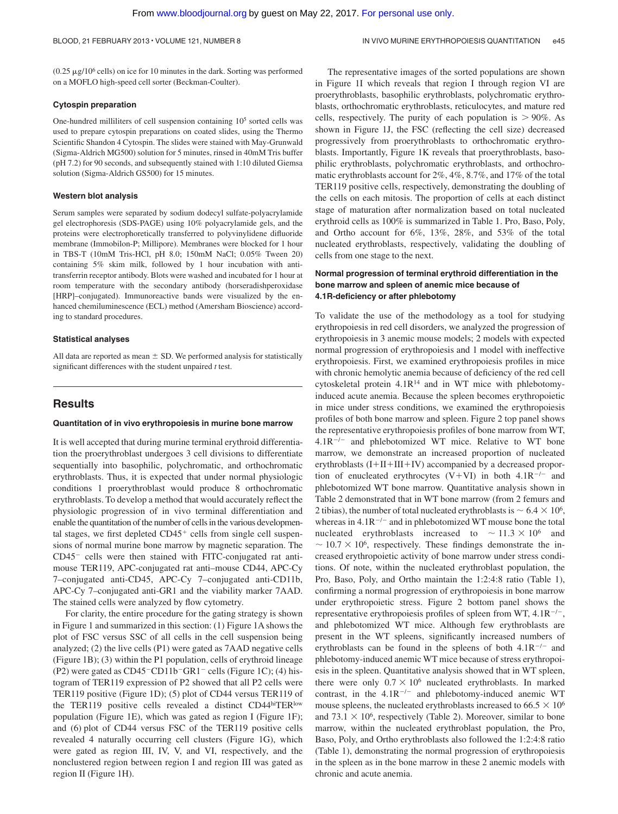$(0.25 \mu g/10^6 \text{ cells})$  on ice for 10 minutes in the dark. Sorting was performed on a MOFLO high-speed cell sorter (Beckman-Coulter).

#### **Cytospin preparation**

One-hundred milliliters of cell suspension containing 105 sorted cells was used to prepare cytospin preparations on coated slides, using the Thermo Scientific Shandon 4 Cytospin. The slides were stained with May-Grunwald (Sigma-Aldrich MG500) solution for 5 minutes, rinsed in 40mM Tris buffer (pH 7.2) for 90 seconds, and subsequently stained with 1:10 diluted Giemsa solution (Sigma-Aldrich GS500) for 15 minutes.

#### **Western blot analysis**

Serum samples were separated by sodium dodecyl sulfate-polyacrylamide gel electrophoresis (SDS-PAGE) using 10% polyacrylamide gels, and the proteins were electrophoretically transferred to polyvinylidene difluoride membrane (Immobilon-P; Millipore). Membranes were blocked for 1 hour in TBS-T (10mM Tris-HCl, pH 8.0; 150mM NaCl; 0.05% Tween 20) containing 5% skim milk, followed by 1 hour incubation with antitransferrin receptor antibody. Blots were washed and incubated for 1 hour at room temperature with the secondary antibody (horseradishperoxidase [HRP]–conjugated). Immunoreactive bands were visualized by the enhanced chemiluminescence (ECL) method (Amersham Bioscience) according to standard procedures.

#### **Statistical analyses**

All data are reported as mean  $\pm$  SD. We performed analysis for statistically significant differences with the student unpaired *t* test.

#### **Results**

#### **Quantitation of in vivo erythropoiesis in murine bone marrow**

It is well accepted that during murine terminal erythroid differentiation the proerythroblast undergoes 3 cell divisions to differentiate sequentially into basophilic, polychromatic, and orthochromatic erythroblasts. Thus, it is expected that under normal physiologic conditions 1 proerythroblast would produce 8 orthochromatic erythroblasts. To develop a method that would accurately reflect the physiologic progression of in vivo terminal differentiation and enable the quantitation of the number of cells in the various developmental stages, we first depleted  $CD45<sup>+</sup>$  cells from single cell suspensions of normal murine bone marrow by magnetic separation. The  $CD45$ <sup>-</sup> cells were then stained with FITC-conjugated rat antimouse TER119, APC-conjugated rat anti–mouse CD44, APC-Cy 7–conjugated anti-CD45, APC-Cy 7–conjugated anti-CD11b, APC-Cy 7–conjugated anti-GR1 and the viability marker 7AAD. The stained cells were analyzed by flow cytometry.

For clarity, the entire procedure for the gating strategy is shown in Figure 1 and summarized in this section: (1) Figure 1A shows the plot of FSC versus SSC of all cells in the cell suspension being analyzed; (2) the live cells (P1) were gated as 7AAD negative cells (Figure 1B); (3) within the P1 population, cells of erythroid lineage (P2) were gated as  $CD45$ <sup>-</sup>CD11b<sup>-</sup>GR1<sup>-</sup> cells (Figure 1C); (4) histogram of TER119 expression of P2 showed that all P2 cells were TER119 positive (Figure 1D); (5) plot of CD44 versus TER119 of the TER119 positive cells revealed a distinct CD44hiTERlow population (Figure 1E), which was gated as region I (Figure 1F); and (6) plot of CD44 versus FSC of the TER119 positive cells revealed 4 naturally occurring cell clusters (Figure 1G), which were gated as region III, IV, V, and VI, respectively, and the nonclustered region between region I and region III was gated as region II (Figure 1H).

The representative images of the sorted populations are shown in Figure 1I which reveals that region I through region VI are proerythroblasts, basophilic erythroblasts, polychromatic erythroblasts, orthochromatic erythroblasts, reticulocytes, and mature red cells, respectively. The purity of each population is  $> 90\%$ . As shown in Figure 1J, the FSC (reflecting the cell size) decreased progressively from proerythroblasts to orthochromatic erythroblasts. Importantly, Figure 1K reveals that proerythroblasts, basophilic erythroblasts, polychromatic erythroblasts, and orthochromatic erythroblasts account for 2%, 4%, 8.7%, and 17% of the total TER119 positive cells, respectively, demonstrating the doubling of the cells on each mitosis. The proportion of cells at each distinct stage of maturation after normalization based on total nucleated erythroid cells as 100% is summarized in Table 1. Pro, Baso, Poly, and Ortho account for 6%, 13%, 28%, and 53% of the total nucleated erythroblasts, respectively, validating the doubling of cells from one stage to the next.

### **Normal progression of terminal erythroid differentiation in the bone marrow and spleen of anemic mice because of 4.1R-deficiency or after phlebotomy**

To validate the use of the methodology as a tool for studying erythropoiesis in red cell disorders, we analyzed the progression of erythropoiesis in 3 anemic mouse models; 2 models with expected normal progression of erythropoiesis and 1 model with ineffective erythropoiesis. First, we examined erythropoiesis profiles in mice with chronic hemolytic anemia because of deficiency of the red cell cytoskeletal protein  $4.1R^{14}$  and in WT mice with phlebotomyinduced acute anemia. Because the spleen becomes erythropoietic in mice under stress conditions, we examined the erythropoiesis profiles of both bone marrow and spleen. Figure 2 top panel shows the representative erythropoiesis profiles of bone marrow from WT,  $4.1R^{-/-}$  and phlebotomized WT mice. Relative to WT bone marrow, we demonstrate an increased proportion of nucleated erythroblasts  $(I+II+III+IV)$  accompanied by a decreased proportion of enucleated erythrocytes  $(V+VI)$  in both  $4.1R^{-/-}$  and phlebotomized WT bone marrow. Quantitative analysis shown in Table 2 demonstrated that in WT bone marrow (from 2 femurs and 2 tibias), the number of total nucleated erythroblasts is  $\sim 6.4 \times 10^6$ , whereas in  $4.1R^{-/-}$  and in phlebotomized WT mouse bone the total nucleated erythroblasts increased to  $\sim 11.3 \times 10^6$  and  $\sim 10.7 \times 10^6$ , respectively. These findings demonstrate the increased erythropoietic activity of bone marrow under stress conditions. Of note, within the nucleated erythroblast population, the Pro, Baso, Poly, and Ortho maintain the 1:2:4:8 ratio (Table 1), confirming a normal progression of erythropoiesis in bone marrow under erythropoietic stress. Figure 2 bottom panel shows the representative erythropoiesis profiles of spleen from WT,  $4.1R^{-/-}$ , and phlebotomized WT mice. Although few erythroblasts are present in the WT spleens, significantly increased numbers of erythroblasts can be found in the spleens of both  $4.1R^{-/-}$  and phlebotomy-induced anemic WT mice because of stress erythropoiesis in the spleen. Quantitative analysis showed that in WT spleen, there were only  $0.7 \times 10^6$  nucleated erythroblasts. In marked contrast, in the  $4.1R^{-/-}$  and phlebotomy-induced anemic WT mouse spleens, the nucleated erythroblasts increased to 66.5  $\times$  10<sup>6</sup> and  $73.1 \times 10^6$ , respectively (Table 2). Moreover, similar to bone marrow, within the nucleated erythroblast population, the Pro, Baso, Poly, and Ortho erythroblasts also followed the 1:2:4:8 ratio (Table 1), demonstrating the normal progression of erythropoiesis in the spleen as in the bone marrow in these 2 anemic models with chronic and acute anemia.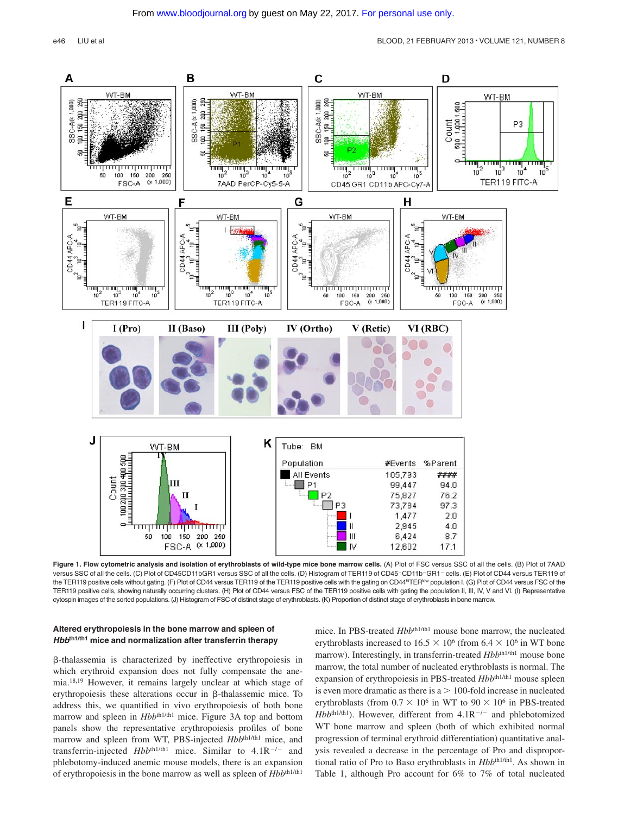

**Figure 1. Flow cytometric analysis and isolation of erythroblasts of wild-type mice bone marrow cells.** (A) Plot of FSC versus SSC of all the cells. (B) Plot of 7AAD versus SSC of all the cells. (C) Plot of CD45CD11bGR1 versus SSC of all the cells. (D) Histogram of TER119 of CD45-CD11b-GR1-cells. (E) Plot of CD44 versus TER119 of the TER119 positive cells without gating. (F) Plot of CD44 versus TER119 of the TER119 positive cells with the gating on CD44<sup>hi</sup>TER<sup>low</sup> population I. (G) Plot of CD44 versus FSC of the TER119 positive cells, showing naturally occurring clusters. (H) Plot of CD44 versus FSC of the TER119 positive cells with gating the population II, III, IV, V and VI. (I) Representative cytospin images of the sorted populations. (J) Histogram of FSC of distinct stage of erythroblasts. (K) Proportion of distinct stage of erythroblasts in bone marrow.

#### **Altered erythropoiesis in the bone marrow and spleen of** *Hbb***th1/th1 mice and normalization after transferrin therapy**

 $\beta$ -thalassemia is characterized by ineffective erythropoiesis in which erythroid expansion does not fully compensate the anemia.18,19 However, it remains largely unclear at which stage of erythropoiesis these alterations occur in  $\beta$ -thalassemic mice. To address this, we quantified in vivo erythropoiesis of both bone marrow and spleen in *Hbb*<sup>th1/th1</sup> mice. Figure 3A top and bottom panels show the representative erythropoiesis profiles of bone marrow and spleen from WT, PBS-injected  $Hbbthth1/th1}$  mice, and transferrin-injected  $Hbb^{th1/th1}$  mice. Similar to  $4.1R^{-/-}$  and phlebotomy-induced anemic mouse models, there is an expansion of erythropoiesis in the bone marrow as well as spleen of  $Hbb^{h1/h1}$ 

mice. In PBS-treated  $Hbb^{th1/h1}$  mouse bone marrow, the nucleated erythroblasts increased to  $16.5 \times 10^6$  (from  $6.4 \times 10^6$  in WT bone marrow). Interestingly, in transferrin-treated  $Hbb^{h1/h1}$  mouse bone marrow, the total number of nucleated erythroblasts is normal. The expansion of erythropoiesis in PBS-treated  $Hbb^{th1/th1}$  mouse spleen is even more dramatic as there is  $a > 100$ -fold increase in nucleated erythroblasts (from  $0.7 \times 10^6$  in WT to  $90 \times 10^6$  in PBS-treated  $Hbb^{th1/th1}$ ). However, different from  $4.1R^{-/-}$  and phlebotomized WT bone marrow and spleen (both of which exhibited normal progression of terminal erythroid differentiation) quantitative analysis revealed a decrease in the percentage of Pro and disproportional ratio of Pro to Baso erythroblasts in  $Hbb^{th1/h1}$ . As shown in Table 1, although Pro account for 6% to 7% of total nucleated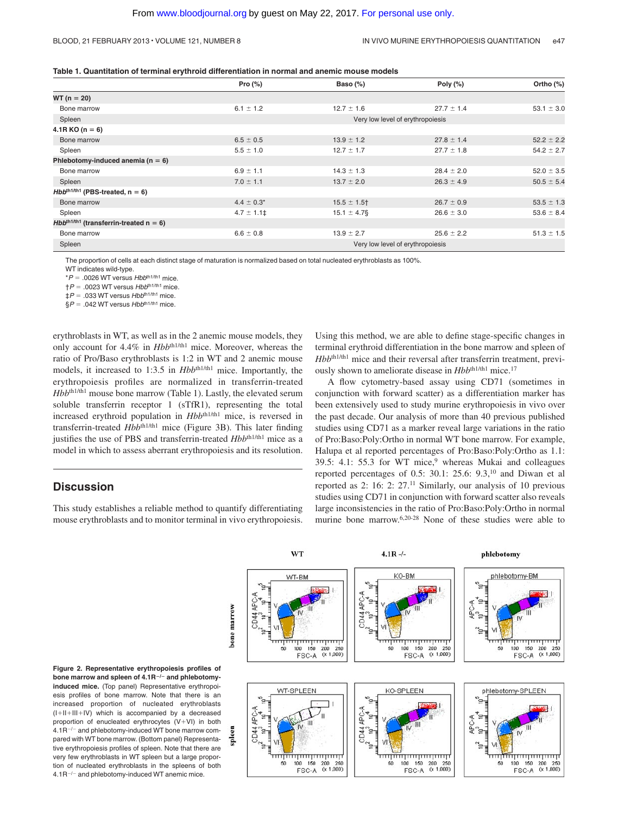#### BLOOD, 21 FEBRUARY 2013 • VOLUME 121, NUMBER 8 IN VIVO MURINE ERYTHROPOIESIS QUANTITATION e47

| Table 1. Quantitation of terminal erythroid differentiation in normal and anemic mouse models |  |
|-----------------------------------------------------------------------------------------------|--|
|-----------------------------------------------------------------------------------------------|--|

|                                                    | Pro $(\%)$          | Baso (%)                         | Poly $(\%)$    | Ortho (%)      |  |
|----------------------------------------------------|---------------------|----------------------------------|----------------|----------------|--|
| $WT (n = 20)$                                      |                     |                                  |                |                |  |
| Bone marrow                                        | $6.1 \pm 1.2$       | $12.7 \pm 1.6$                   | $27.7 \pm 1.4$ | $53.1 \pm 3.0$ |  |
| Spleen                                             |                     | Very low level of erythropoiesis |                |                |  |
| $4.1R KO(n = 6)$                                   |                     |                                  |                |                |  |
| Bone marrow                                        | $6.5 \pm 0.5$       | $13.9 \pm 1.2$                   | $27.8 \pm 1.4$ | $52.2 \pm 2.2$ |  |
| Spleen                                             | $5.5 \pm 1.0$       | $12.7 \pm 1.7$                   | $27.7 \pm 1.8$ | $54.2 \pm 2.7$ |  |
| Phlebotomy-induced anemia ( $n = 6$ )              |                     |                                  |                |                |  |
| Bone marrow                                        | $6.9 \pm 1.1$       | $14.3 \pm 1.3$                   | $28.4 \pm 2.0$ | $52.0 \pm 3.5$ |  |
| Spleen                                             | $7.0 \pm 1.1$       | $13.7 \pm 2.0$                   | $26.3 \pm 4.9$ | $50.5 \pm 5.4$ |  |
| $Hbbth1/th1$ (PBS-treated, $n = 6$ )               |                     |                                  |                |                |  |
| Bone marrow                                        | $4.4 \pm 0.3^*$     | $15.5 \pm 1.5$ †                 | $26.7 \pm 0.9$ | $53.5 \pm 1.3$ |  |
| Spleen                                             | $4.7 \pm 1.1$ $\pm$ | $15.1 \pm 4.7$ §                 | $26.6 \pm 3.0$ | $53.6 \pm 8.4$ |  |
| $Hbb^{th1/\text{th1}}$ (transferrin-treated n = 6) |                     |                                  |                |                |  |
| Bone marrow                                        | $6.6 \pm 0.8$       | $13.9 \pm 2.7$                   | $25.6 \pm 2.2$ | $51.3 \pm 1.5$ |  |
| Spleen                                             |                     | Very low level of erythropoiesis |                |                |  |

The proportion of cells at each distinct stage of maturation is normalized based on total nucleated erythroblasts as 100%.

WT indicates wild-type.

\**P* .0026 WT versus *Hbb*th1/th1 mice.

†*P* .0023 WT versus *Hbb*th1/th1 mice.

‡*P* .033 WT versus *Hbb*th1/th1 mice.

§*P* .042 WT versus *Hbb*th1/th1 mice.

erythroblasts in WT, as well as in the 2 anemic mouse models, they only account for 4.4% in *Hbb*th1/th1 mice. Moreover, whereas the ratio of Pro/Baso erythroblasts is 1:2 in WT and 2 anemic mouse models, it increased to 1:3.5 in *Hbb*<sup>th1/th1</sup> mice. Importantly, the erythropoiesis profiles are normalized in transferrin-treated *Hbb*<sup>th1/th1</sup> mouse bone marrow (Table 1). Lastly, the elevated serum soluble transferrin receptor 1 (sTfR1), representing the total increased erythroid population in  $Hbb^{th1/h1}$  mice, is reversed in transferrin-treated *Hbb<sup>th1/th1</sup>* mice (Figure 3B). This later finding justifies the use of PBS and transferrin-treated  $Hbb^{th1/h1}$  mice as a model in which to assess aberrant erythropoiesis and its resolution.

# **Discussion**

This study establishes a reliable method to quantify differentiating mouse erythroblasts and to monitor terminal in vivo erythropoiesis. Using this method, we are able to define stage-specific changes in terminal erythroid differentiation in the bone marrow and spleen of *Hbb*th1/th1 mice and their reversal after transferrin treatment, previously shown to ameliorate disease in  $Hbb^{th1/th1}$  mice.<sup>17</sup>

A flow cytometry-based assay using CD71 (sometimes in conjunction with forward scatter) as a differentiation marker has been extensively used to study murine erythropoiesis in vivo over the past decade. Our analysis of more than 40 previous published studies using CD71 as a marker reveal large variations in the ratio of Pro:Baso:Poly:Ortho in normal WT bone marrow. For example, Halupa et al reported percentages of Pro:Baso:Poly:Ortho as 1.1: 39.5: 4.1: 55.3 for WT mice,<sup>9</sup> whereas Mukai and colleagues reported percentages of 0.5: 30.1: 25.6: 9.3,<sup>10</sup> and Diwan et al reported as 2: 16: 2: 27.11 Similarly, our analysis of 10 previous studies using CD71 in conjunction with forward scatter also reveals large inconsistencies in the ratio of Pro:Baso:Poly:Ortho in normal murine bone marrow.6,20-28 None of these studies were able to



**Figure 2. Representative erythropoiesis profiles of** bone marrow and spleen of 4.1R<sup>-/-</sup> and phlebotomy**induced mice.** (Top panel) Representative erythropoiesis profiles of bone marrow. Note that there is an increased proportion of nucleated erythroblasts  $(I+II+III+IV)$  which is accompanied by a decreased proportion of enucleated erythrocytes  $(V+VI)$  in both  $4.1R^{-/-}$  and phlebotomy-induced WT bone marrow compared with WT bone marrow. (Bottom panel) Representative erythropoiesis profiles of spleen. Note that there are very few erythroblasts in WT spleen but a large proportion of nucleated erythroblasts in the spleens of both  $4.1R^{-/-}$  and phlebotomy-induced WT anemic mice.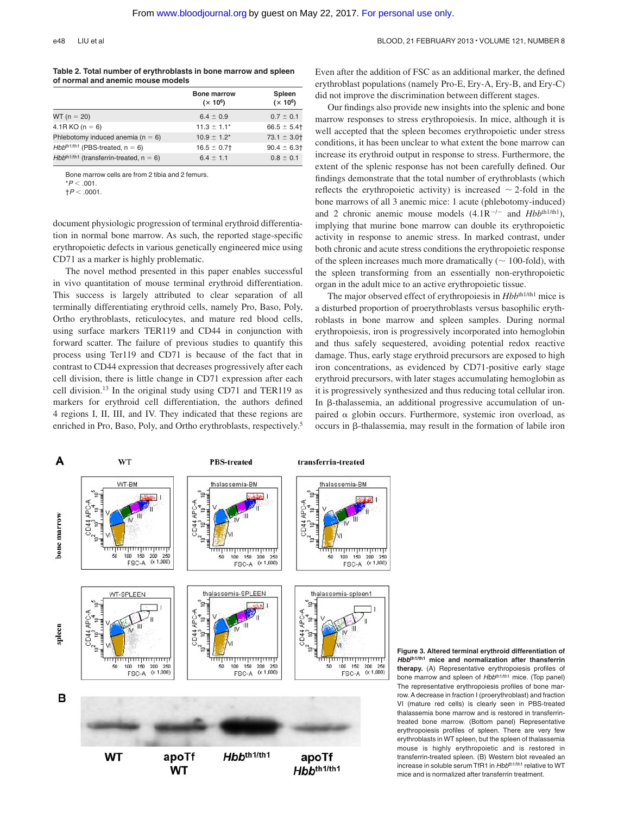#### e48 LIU et al BLOOD, 21 FEBRUARY 2013 • VOLUME 121, NUMBER 8

#### **Table 2. Total number of erythroblasts in bone marrow and spleen of normal and anemic mouse models**

|                                                 | <b>Bone marrow</b><br>$(x 10^6)$ | Spleen<br>$(x 10^6)$ |
|-------------------------------------------------|----------------------------------|----------------------|
| $WT (n = 20)$                                   | $6.4 \pm 0.9$                    | $0.7 \pm 0.1$        |
| $4.1R KO(n = 6)$                                | $11.3 \pm 1.1^*$                 | $66.5 \pm 5.4$       |
| Phlebotomy induced anemia ( $n = 6$ )           | $10.9 \pm 1.2^*$                 | $73.1 \pm 3.01$      |
| $Hbb^{th1/th1}$ (PBS-treated, $n = 6$ )         | $16.5 \pm 0.7$                   | $90.4 \pm 6.3$       |
| $Hbb^{th1/th1}$ (transferrin-treated, $n = 6$ ) | $6.4 \pm 1.1$                    | $0.8 \pm 0.1$        |

Bone marrow cells are from 2 tibia and 2 femurs.

 $*P < 0.01$ 

 $\uparrow P < .0001$ .

document physiologic progression of terminal erythroid differentiation in normal bone marrow. As such, the reported stage-specific erythropoietic defects in various genetically engineered mice using CD71 as a marker is highly problematic.

The novel method presented in this paper enables successful in vivo quantitation of mouse terminal erythroid differentiation. This success is largely attributed to clear separation of all terminally differentiating erythroid cells, namely Pro, Baso, Poly, Ortho erythroblasts, reticulocytes, and mature red blood cells, using surface markers TER119 and CD44 in conjunction with forward scatter. The failure of previous studies to quantify this process using Ter119 and CD71 is because of the fact that in contrast to CD44 expression that decreases progressively after each cell division, there is little change in CD71 expression after each cell division.13 In the original study using CD71 and TER119 as markers for erythroid cell differentiation, the authors defined 4 regions I, II, III, and IV. They indicated that these regions are enriched in Pro, Baso, Poly, and Ortho erythroblasts, respectively.5

Even after the addition of FSC as an additional marker, the defined erythroblast populations (namely Pro-E, Ery-A, Ery-B, and Ery-C) did not improve the discrimination between different stages.

Our findings also provide new insights into the splenic and bone marrow responses to stress erythropoiesis. In mice, although it is well accepted that the spleen becomes erythropoietic under stress conditions, it has been unclear to what extent the bone marrow can increase its erythroid output in response to stress. Furthermore, the extent of the splenic response has not been carefully defined. Our findings demonstrate that the total number of erythroblasts (which reflects the erythropoietic activity) is increased  $\sim$  2-fold in the bone marrows of all 3 anemic mice: 1 acute (phlebotomy-induced) and 2 chronic anemic mouse models  $(4.1R^{-/-}$  and  $Hbb^{th1/th1})$ , implying that murine bone marrow can double its erythropoietic activity in response to anemic stress. In marked contrast, under both chronic and acute stress conditions the erythropoietic response of the spleen increases much more dramatically ( $\sim$  100-fold), with the spleen transforming from an essentially non-erythropoietic organ in the adult mice to an active erythropoietic tissue.

The major observed effect of erythropoiesis in  $Hbb^{th1/h1}$  mice is a disturbed proportion of proerythroblasts versus basophilic erythroblasts in bone marrow and spleen samples. During normal erythropoiesis, iron is progressively incorporated into hemoglobin and thus safely sequestered, avoiding potential redox reactive damage. Thus, early stage erythroid precursors are exposed to high iron concentrations, as evidenced by CD71-positive early stage erythroid precursors, with later stages accumulating hemoglobin as it is progressively synthesized and thus reducing total cellular iron. In  $\beta$ -thalassemia, an additional progressive accumulation of unpaired  $\alpha$  globin occurs. Furthermore, systemic iron overload, as  $occurs$  in  $\beta$ -thalassemia, may result in the formation of labile iron



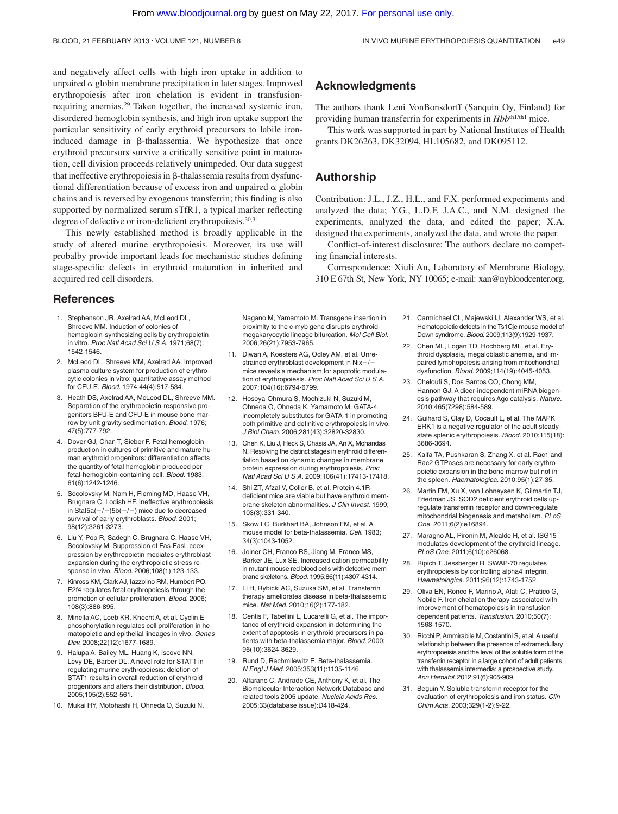and negatively affect cells with high iron uptake in addition to unpaired  $\alpha$  globin membrane precipitation in later stages. Improved erythropoiesis after iron chelation is evident in transfusionrequiring anemias.29 Taken together, the increased systemic iron, disordered hemoglobin synthesis, and high iron uptake support the particular sensitivity of early erythroid precursors to labile ironinduced damage in  $\beta$ -thalassemia. We hypothesize that once erythroid precursors survive a critically sensitive point in maturation, cell division proceeds relatively unimpeded. Our data suggest that ineffective erythropoiesis in  $\beta$ -thalassemia results from dysfunctional differentiation because of excess iron and unpaired  $\alpha$  globin chains and is reversed by exogenous transferrin; this finding is also supported by normalized serum sTfR1, a typical marker reflecting degree of defective or iron-deficient erythropoiesis.<sup>30,31</sup>

This newly established method is broadly applicable in the study of altered murine erythropoiesis. Moreover, its use will probalby provide important leads for mechanistic studies defining stage-specific defects in erythroid maturation in inherited and acquired red cell disorders.

## **Acknowledgments**

The authors thank Leni VonBonsdorff (Sanquin Oy, Finland) for providing human transferrin for experiments in *Hbb*<sup>th1/th1</sup> mice.

This work was supported in part by National Institutes of Health grants DK26263, DK32094, HL105682, and DK095112.

## **Authorship**

Contribution: J.L., J.Z., H.L., and F.X. performed experiments and analyzed the data; Y.G., L.D.F, J.A.C., and N.M. designed the experiments, analyzed the data, and edited the paper; X.A. designed the experiments, analyzed the data, and wrote the paper.

Conflict-of-interest disclosure: The authors declare no competing financial interests.

Correspondence: Xiuli An, Laboratory of Membrane Biology, 310 E 67th St, New York, NY 10065; e-mail: xan@nybloodcenter.org.

#### **References**

- 1. Stephenson JR, Axelrad AA, McLeod DL, Shreeve MM. Induction of colonies of hemoglobin-synthesizing cells by erythropoietin in vitro. *Proc Natl Acad Sci U S A.* 1971;68(7): 1542-1546.
- 2. McLeod DL, Shreeve MM, Axelrad AA. Improved plasma culture system for production of erythrocytic colonies in vitro: quantitative assay method for CFU-E. *Blood.* 1974;44(4):517-534.
- 3. Heath DS, Axelrad AA, McLeod DL, Shreeve MM. Separation of the erythropoietin-responsive progenitors BFU-E and CFU-E in mouse bone marrow by unit gravity sedimentation. *Blood.* 1976; 47(5):777-792.
- 4. Dover GJ, Chan T, Sieber F. Fetal hemoglobin production in cultures of primitive and mature human erythroid progenitors: differentiation affects the quantity of fetal hemoglobin produced per fetal-hemoglobin-containing cell. *Blood.* 1983; 61(6):1242-1246.
- 5. Socolovsky M, Nam H, Fleming MD, Haase VH, Brugnara C, Lodish HF. Ineffective erythropoiesis in Stat5a( $-/-$ )5b( $-/-$ ) mice due to decreased survival of early erythroblasts. *Blood.* 2001; 98(12):3261-3273.
- 6. Liu Y, Pop R, Sadegh C, Brugnara C, Haase VH, Socolovsky M. Suppression of Fas-FasL coexpression by erythropoietin mediates erythroblast expansion during the erythropoietic stress response in vivo. *Blood.* 2006;108(1):123-133.
- 7. Kinross KM, Clark AJ, Iazzolino RM, Humbert PO. E2f4 regulates fetal erythropoiesis through the promotion of cellular proliferation. *Blood.* 2006; 108(3):886-895.
- 8. Minella AC, Loeb KR, Knecht A, et al. Cyclin E phosphorylation regulates cell proliferation in hematopoietic and epithelial lineages in vivo. *Genes Dev.* 2008;22(12):1677-1689.
- 9. Halupa A, Bailey ML, Huang K, Iscove NN, Levy DE, Barber DL. A novel role for STAT1 in regulating murine erythropoiesis: deletion of STAT1 results in overall reduction of erythroid progenitors and alters their distribution. *Blood.* 2005;105(2):552-561.
- 10. Mukai HY, Motohashi H, Ohneda O, Suzuki N,

Nagano M, Yamamoto M. Transgene insertion in proximity to the c-myb gene disrupts erythroidmegakaryocytic lineage bifurcation. *Mol Cell Biol.* 2006;26(21):7953-7965.

- 11. Diwan A, Koesters AG, Odley AM, et al. Unrestrained erythroblast development in Nix-/mice reveals a mechanism for apoptotic modulation of erythropoiesis. *Proc Natl Acad Sci U S A.* 2007;104(16):6794-6799.
- 12. Hosoya-Ohmura S, Mochizuki N, Suzuki M, Ohneda O, Ohneda K, Yamamoto M. GATA-4 incompletely substitutes for GATA-1 in promoting both primitive and definitive erythropoiesis in vivo. *J Biol Chem.* 2006;281(43):32820-32830.
- 13. Chen K, Liu J, Heck S, Chasis JA, An X, Mohandas N. Resolving the distinct stages in erythroid differentiation based on dynamic changes in membrane protein expression during erythropoiesis. *Proc Natl Acad Sci U S A.* 2009;106(41):17413-17418.
- 14. Shi ZT, Afzal V, Coller B, et al. Protein 4.1Rdeficient mice are viable but have erythroid membrane skeleton abnormalities. *J Clin Invest.* 1999; 103(3):331-340.
- 15. Skow LC, Burkhart BA, Johnson FM, et al. A mouse model for beta-thalassemia. *Cell.* 1983; 34(3):1043-1052.
- 16. Joiner CH, Franco RS, Jiang M, Franco MS, Barker JE, Lux SE. Increased cation permeability in mutant mouse red blood cells with defective membrane skeletons. *Blood.* 1995;86(11):4307-4314.
- 17. Li H, Rybicki AC, Suzuka SM, et al. Transferrin therapy ameliorates disease in beta-thalassemic mice. *Nat Med.* 2010;16(2):177-182.
- 18. Centis F, Tabellini L, Lucarelli G, et al. The importance of erythroid expansion in determining the extent of apoptosis in erythroid precursors in patients with beta-thalassemia major. *Blood.* 2000; 96(10):3624-3629.
- 19. Rund D, Rachmilewitz E. Beta-thalassemia. *N Engl J Med.* 2005;353(11):1135-1146.
- Alfarano C, Andrade CE, Anthony K, et al. The Biomolecular Interaction Network Database and related tools 2005 update. *Nucleic Acids Res.* 2005;33(database issue):D418-424.
- 21. Carmichael CL, Majewski IJ, Alexander WS, et al. Hematopoietic defects in the Ts1Cie mouse model of Down syndrome. *Blood.* 2009;113(9):1929-1937.
- 22. Chen ML, Logan TD, Hochberg ML, et al. Erythroid dysplasia, megaloblastic anemia, and impaired lymphopoiesis arising from mitochondrial dysfunction. *Blood.* 2009;114(19):4045-4053.
- 23. Cheloufi S, Dos Santos CO, Chong MM, Hannon GJ. A dicer-independent miRNA biogenesis pathway that requires Ago catalysis. *Nature.* 2010;465(7298):584-589.
- 24. Guihard S, Clay D, Cocault L, et al. The MAPK ERK1 is a negative regulator of the adult steadystate splenic erythropoiesis. *Blood.* 2010;115(18): 3686-3694.
- 25. Kalfa TA, Pushkaran S, Zhang X, et al. Rac1 and Rac2 GTPases are necessary for early erythropoietic expansion in the bone marrow but not in the spleen. *Haematologica.* 2010;95(1):27-35.
- 26. Martin FM, Xu X, von Lohneysen K, Gilmartin TJ, Friedman JS. SOD2 deficient erythroid cells upregulate transferrin receptor and down-regulate mitochondrial biogenesis and metabolism. *PLoS One.* 2011;6(2):e16894.
- 27. Maragno AL, Pironin M, Alcalde H, et al. ISG15 modulates development of the erythroid lineage. *PLoS One.* 2011;6(10):e26068.
- 28. Ripich T, Jessberger R. SWAP-70 regulates erythropoiesis by controlling alpha4 integrin. *Haematologica.* 2011;96(12):1743-1752.
- 29. Oliva EN, Ronco F, Marino A, Alati C, Pratico G, Nobile F. Iron chelation therapy associated with improvement of hematopoiesis in transfusiondependent patients. *Transfusion.* 2010;50(7): 1568-1570.
- 30. Ricchi P, Ammirabile M, Costantini S, et al. A useful relationship between the presence of extramedullary erythropoeisis and the level of the soluble form of the transferrin receptor in a large cohort of adult patients with thalassemia intermedia: a prospective study. *Ann Hematol.* 2012;91(6):905-909.
- 31. Beguin Y. Soluble transferrin receptor for the evaluation of erythropoiesis and iron status. *Clin Chim Acta.* 2003;329(1-2):9-22.